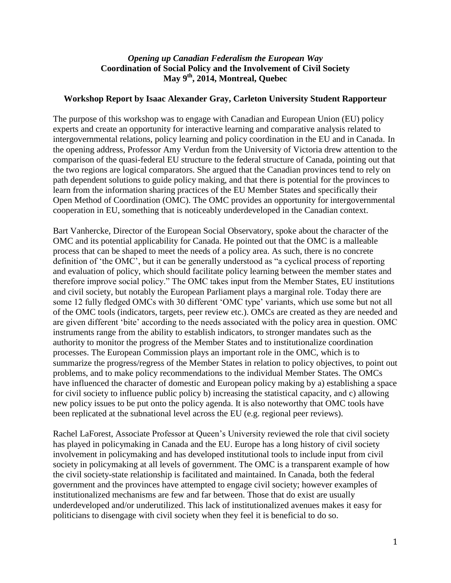## *Opening up Canadian Federalism the European Way* **Coordination of Social Policy and the Involvement of Civil Society May 9th, 2014, Montreal, Quebec**

## **Workshop Report by Isaac Alexander Gray, Carleton University Student Rapporteur**

The purpose of this workshop was to engage with Canadian and European Union (EU) policy experts and create an opportunity for interactive learning and comparative analysis related to intergovernmental relations, policy learning and policy coordination in the EU and in Canada. In the opening address, Professor Amy Verdun from the University of Victoria drew attention to the comparison of the quasi-federal EU structure to the federal structure of Canada, pointing out that the two regions are logical comparators. She argued that the Canadian provinces tend to rely on path dependent solutions to guide policy making, and that there is potential for the provinces to learn from the information sharing practices of the EU Member States and specifically their Open Method of Coordination (OMC). The OMC provides an opportunity for intergovernmental cooperation in EU, something that is noticeably underdeveloped in the Canadian context.

Bart Vanhercke, Director of the European Social Observatory, spoke about the character of the OMC and its potential applicability for Canada. He pointed out that the OMC is a malleable process that can be shaped to meet the needs of a policy area. As such, there is no concrete definition of 'the OMC', but it can be generally understood as "a cyclical process of reporting and evaluation of policy, which should facilitate policy learning between the member states and therefore improve social policy." The OMC takes input from the Member States, EU institutions and civil society, but notably the European Parliament plays a marginal role. Today there are some 12 fully fledged OMCs with 30 different 'OMC type' variants, which use some but not all of the OMC tools (indicators, targets, peer review etc.). OMCs are created as they are needed and are given different 'bite' according to the needs associated with the policy area in question. OMC instruments range from the ability to establish indicators, to stronger mandates such as the authority to monitor the progress of the Member States and to institutionalize coordination processes. The European Commission plays an important role in the OMC, which is to summarize the progress/regress of the Member States in relation to policy objectives, to point out problems, and to make policy recommendations to the individual Member States. The OMCs have influenced the character of domestic and European policy making by a) establishing a space for civil society to influence public policy b) increasing the statistical capacity, and c) allowing new policy issues to be put onto the policy agenda. It is also noteworthy that OMC tools have been replicated at the subnational level across the EU (e.g. regional peer reviews).

Rachel LaForest, Associate Professor at Queen's University reviewed the role that civil society has played in policymaking in Canada and the EU. Europe has a long history of civil society involvement in policymaking and has developed institutional tools to include input from civil society in policymaking at all levels of government. The OMC is a transparent example of how the civil society-state relationship is facilitated and maintained. In Canada, both the federal government and the provinces have attempted to engage civil society; however examples of institutionalized mechanisms are few and far between. Those that do exist are usually underdeveloped and/or underutilized. This lack of institutionalized avenues makes it easy for politicians to disengage with civil society when they feel it is beneficial to do so.